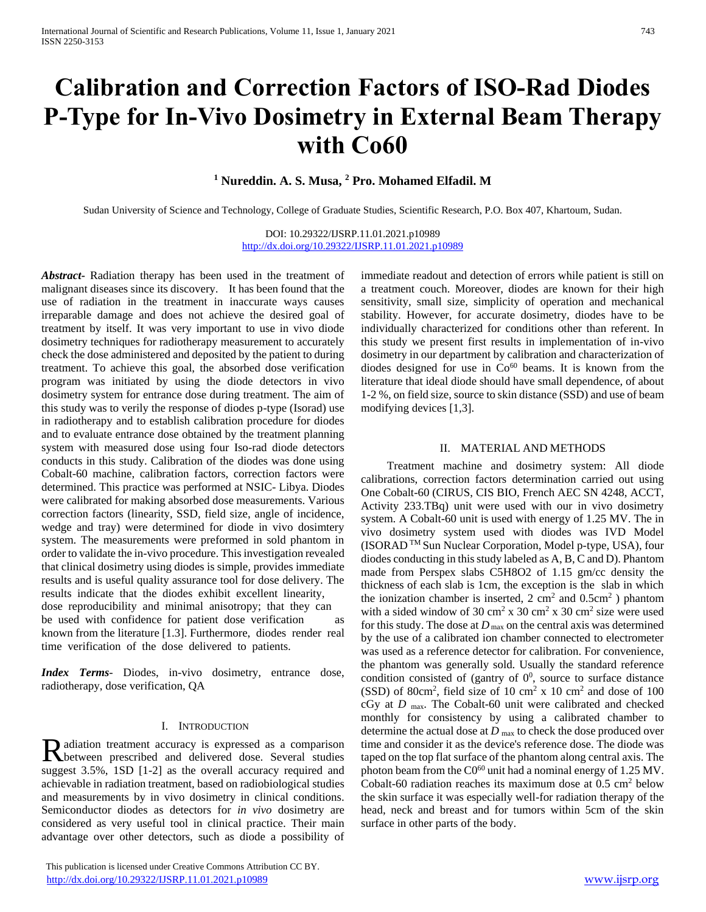# **Calibration and Correction Factors of ISO-Rad Diodes P-Type for In-Vivo Dosimetry in External Beam Therapy with Co60**

## **<sup>1</sup> Nureddin. A. S. Musa, <sup>2</sup> Pro. Mohamed Elfadil. M**

Sudan University of Science and Technology, College of Graduate Studies, Scientific Research, P.O. Box 407, Khartoum, Sudan.

DOI: 10.29322/IJSRP.11.01.2021.p10989 <http://dx.doi.org/10.29322/IJSRP.11.01.2021.p10989>

*Abstract***-** Radiation therapy has been used in the treatment of malignant diseases since its discovery. It has been found that the use of radiation in the treatment in inaccurate ways causes irreparable damage and does not achieve the desired goal of treatment by itself. It was very important to use in vivo diode dosimetry techniques for radiotherapy measurement to accurately check the dose administered and deposited by the patient to during treatment. To achieve this goal, the absorbed dose verification program was initiated by using the diode detectors in vivo dosimetry system for entrance dose during treatment. The aim of this study was to verily the response of diodes p-type (Isorad) use in radiotherapy and to establish calibration procedure for diodes and to evaluate entrance dose obtained by the treatment planning system with measured dose using four Iso-rad diode detectors conducts in this study. Calibration of the diodes was done using Cobalt-60 machine, calibration factors, correction factors were determined. This practice was performed at NSIC- Libya. Diodes were calibrated for making absorbed dose measurements. Various correction factors (linearity, SSD, field size, angle of incidence, wedge and tray) were determined for diode in vivo dosimtery system. The measurements were preformed in sold phantom in order to validate the in-vivo procedure. This investigation revealed that clinical dosimetry using diodes is simple, provides immediate results and is useful quality assurance tool for dose delivery. The results indicate that the diodes exhibit excellent linearity, dose reproducibility and minimal anisotropy; that they can be used with confidence for patient dose verification as known from the literature [1.3]. Furthermore, diodes render real time verification of the dose delivered to patients.

*Index Terms*- Diodes, in-vivo dosimetry, entrance dose, radiotherapy, dose verification, QA

#### I. INTRODUCTION

adiation treatment accuracy is expressed as a comparison Radiation treatment accuracy is expressed as a comparison<br>
Retween prescribed and delivered dose. Several studies suggest 3.5%, 1SD [1-2] as the overall accuracy required and achievable in radiation treatment, based on radiobiological studies and measurements by in vivo dosimetry in clinical conditions. Semiconductor diodes as detectors for *in vivo* dosimetry are considered as very useful tool in clinical practice. Their main advantage over other detectors, such as diode a possibility of

 This publication is licensed under Creative Commons Attribution CC BY. <http://dx.doi.org/10.29322/IJSRP.11.01.2021.p10989> [www.ijsrp.org](http://ijsrp.org/)

immediate readout and detection of errors while patient is still on a treatment couch. Moreover, diodes are known for their high sensitivity, small size, simplicity of operation and mechanical stability. However, for accurate dosimetry, diodes have to be individually characterized for conditions other than referent. In this study we present first results in implementation of in-vivo dosimetry in our department by calibration and characterization of diodes designed for use in  $Co<sup>60</sup>$  beams. It is known from the literature that ideal diode should have small dependence, of about 1-2 %, on field size, source to skin distance (SSD) and use of beam modifying devices [1,3].

## II. MATERIAL AND METHODS

 Treatment machine and dosimetry system: All diode calibrations, correction factors determination carried out using One Cobalt-60 (CIRUS, CIS BIO, French AEC SN 4248, ACCT, Activity 233.TBq) unit were used with our in vivo dosimetry system. A Cobalt-60 unit is used with energy of 1.25 MV. The in vivo dosimetry system used with diodes was IVD Model (ISORAD TM Sun Nuclear Corporation, Model p-type, USA), four diodes conducting in this study labeled as A, B, C and D). Phantom made from Perspex slabs C5H8O2 of 1.15 gm/cc density the thickness of each slab is 1cm, the exception is the slab in which the ionization chamber is inserted,  $2 \text{ cm}^2$  and  $0.5 \text{ cm}^2$ ) phantom with a sided window of 30 cm<sup>2</sup> x 30 cm<sup>2</sup> x 30 cm<sup>2</sup> size were used for this study. The dose at  $D_{\text{max}}$  on the central axis was determined by the use of a calibrated ion chamber connected to electrometer was used as a reference detector for calibration. For convenience, the phantom was generally sold. Usually the standard reference condition consisted of (gantry of  $0^0$ , source to surface distance  $(SSD)$  of 80cm<sup>2</sup>, field size of 10 cm<sup>2</sup> x 10 cm<sup>2</sup> and dose of 100 cGy at *D* max. The Cobalt-60 unit were calibrated and checked monthly for consistency by using a calibrated chamber to determine the actual dose at *D* max to check the dose produced over time and consider it as the device's reference dose. The diode was taped on the top flat surface of the phantom along central axis. The photon beam from the C0<sup>60</sup> unit had a nominal energy of 1.25 MV. Cobalt-60 radiation reaches its maximum dose at  $0.5 \text{ cm}^2$  below the skin surface it was especially well-for radiation therapy of the head, neck and breast and for tumors within 5cm of the skin surface in other parts of the body.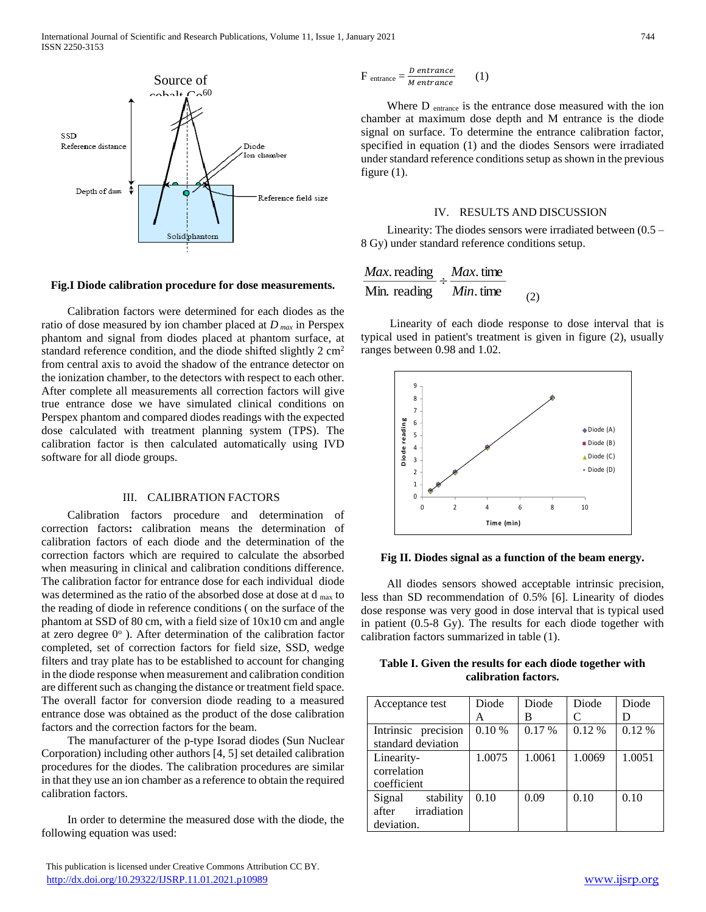

## **Fig.I Diode calibration procedure for dose measurements.**

 Calibration factors were determined for each diodes as the ratio of dose measured by ion chamber placed at *D max* in Perspex phantom and signal from diodes placed at phantom surface, at standard reference condition, and the diode shifted slightly 2 cm<sup>2</sup> from central axis to avoid the shadow of the entrance detector on the ionization chamber, to the detectors with respect to each other. After complete all measurements all correction factors will give true entrance dose we have simulated clinical conditions on Perspex phantom and compared diodes readings with the expected dose calculated with treatment planning system (TPS). The calibration factor is then calculated automatically using IVD software for all diode groups.

### III. CALIBRATION FACTORS

 Calibration factors procedure and determination of correction factors**:** calibration means the determination of calibration factors of each diode and the determination of the correction factors which are required to calculate the absorbed when measuring in clinical and calibration conditions difference. The calibration factor for entrance dose for each individual diode was determined as the ratio of the absorbed dose at dose at d  $_{\text{max}}$  to the reading of diode in reference conditions ( on the surface of the phantom at SSD of 80 cm, with a field size of 10x10 cm and angle at zero degree  $0^{\circ}$  ). After determination of the calibration factor completed, set of correction factors for field size, SSD, wedge filters and tray plate has to be established to account for changing in the diode response when measurement and calibration condition are different such as changing the distance or treatment field space. The overall factor for conversion diode reading to a measured entrance dose was obtained as the product of the dose calibration factors and the correction factors for the beam.

 The manufacturer of the p-type Isorad diodes (Sun Nuclear Corporation) including other authors [4, 5] set detailed calibration procedures for the diodes. The calibration procedures are similar in that they use an ion chamber as a reference to obtain the required calibration factors.

 In order to determine the measured dose with the diode, the following equation was used:

$$
F_{\text{entrance}} = \frac{D \text{ entrance}}{M \text{ entrance}} \qquad (1)
$$

 Where D entrance is the entrance dose measured with the ion chamber at maximum dose depth and M entrance is the diode signal on surface. To determine the entrance calibration factor, specified in equation (1) and the diodes Sensors were irradiated under standard reference conditions setup as shown in the previous figure (1).

#### IV. RESULTS AND DISCUSSION

 Linearity: The diodes sensors were irradiated between (0.5 – 8 Gy) under standard reference conditions setup.

$$
\frac{Max.\text{reading}}{\text{Min. reading}} \div \frac{Max.\text{time}}{Min.\text{time}}
$$
 (2)

 Linearity of each diode response to dose interval that is typical used in patient's treatment is given in figure (2), usually ranges between 0.98 and 1.02.



**Fig II. Diodes signal as a function of the beam energy.**

 All diodes sensors showed acceptable intrinsic precision, less than SD recommendation of 0.5% [6]. Linearity of diodes dose response was very good in dose interval that is typical used in patient (0.5-8 Gy). The results for each diode together with calibration factors summarized in table (1).

|                      |  |  |  |  |  |  | Table I. Given the results for each diode together with |  |
|----------------------|--|--|--|--|--|--|---------------------------------------------------------|--|
| calibration factors. |  |  |  |  |  |  |                                                         |  |

| Acceptance test                                           | Diode  | Diode  | Diode  | Diode  |
|-----------------------------------------------------------|--------|--------|--------|--------|
|                                                           | А      | В      |        |        |
| Intrinsic precision<br>standard deviation                 | 0.10%  | 0.17%  | 0.12%  | 0.12%  |
| Linearity-<br>correlation<br>coefficient                  | 1.0075 | 1.0061 | 1.0069 | 1.0051 |
| stability<br>Signal<br>irradiation<br>after<br>deviation. | 0.10   | 0.09   | 0.10   | 0.10   |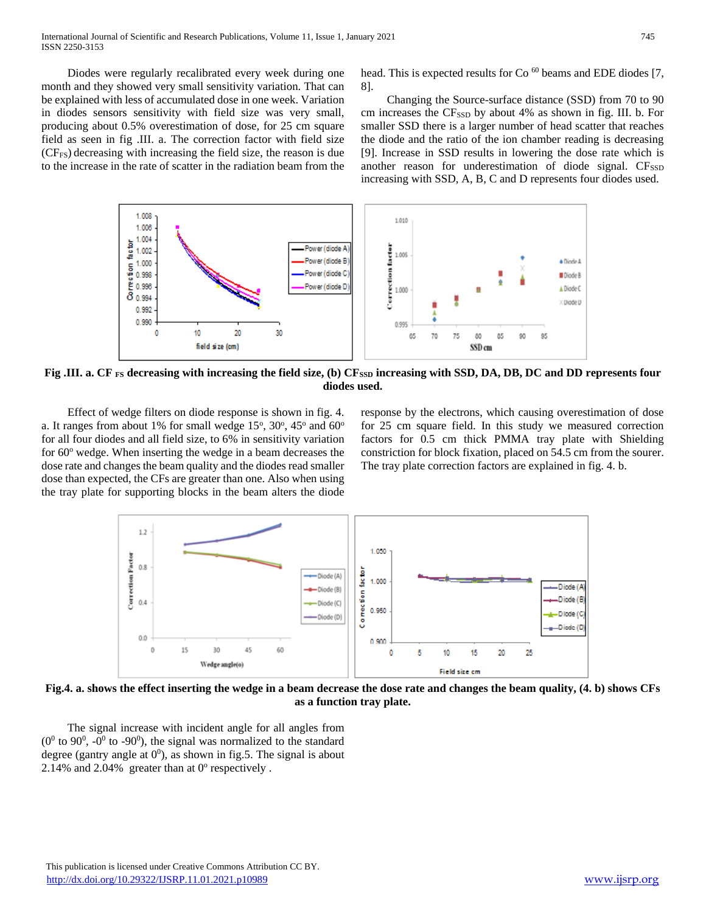Diodes were regularly recalibrated every week during one month and they showed very small sensitivity variation. That can be explained with less of accumulated dose in one week. Variation in diodes sensors sensitivity with field size was very small, producing about 0.5% overestimation of dose, for 25 cm square field as seen in fig .III. a. The correction factor with field size (CFFS) decreasing with increasing the field size, the reason is due to the increase in the rate of scatter in the radiation beam from the

head. This is expected results for Co<sup>60</sup> beams and EDE diodes [7, 8].

 Changing the Source-surface distance (SSD) from 70 to 90 cm increases the CF<sub>SSD</sub> by about 4% as shown in fig. III. b. For smaller SSD there is a larger number of head scatter that reaches the diode and the ratio of the ion chamber reading is decreasing [9]. Increase in SSD results in lowering the dose rate which is another reason for underestimation of diode signal. CF<sub>SSD</sub> increasing with SSD, A, B, C and D represents four diodes used.



**Fig .III. a. CF FS decreasing with increasing the field size, (b) CFSSD increasing with SSD, DA, DB, DC and DD represents four diodes used.**

 Effect of wedge filters on diode response is shown in fig. 4. a. It ranges from about 1% for small wedge  $15^{\circ}$ ,  $30^{\circ}$ ,  $45^{\circ}$  and  $60^{\circ}$ for all four diodes and all field size, to 6% in sensitivity variation for  $60^\circ$  wedge. When inserting the wedge in a beam decreases the dose rate and changes the beam quality and the diodes read smaller dose than expected, the CFs are greater than one. Also when using the tray plate for supporting blocks in the beam alters the diode

response by the electrons, which causing overestimation of dose for 25 cm square field. In this study we measured correction factors for 0.5 cm thick PMMA tray plate with Shielding constriction for block fixation, placed on 54.5 cm from the sourer. The tray plate correction factors are explained in fig. 4. b.



**Fig.4. a. shows the effect inserting the wedge in a beam decrease the dose rate and changes the beam quality, (4. b) shows CFs as a function tray plate.**

 The signal increase with incident angle for all angles from  $(0^0$  to 90<sup>0</sup>,  $-0^0$  to  $-90^0$ ), the signal was normalized to the standard degree (gantry angle at  $0^0$ ), as shown in fig.5. The signal is about 2.14% and 2.04% greater than at  $0^\circ$  respectively.